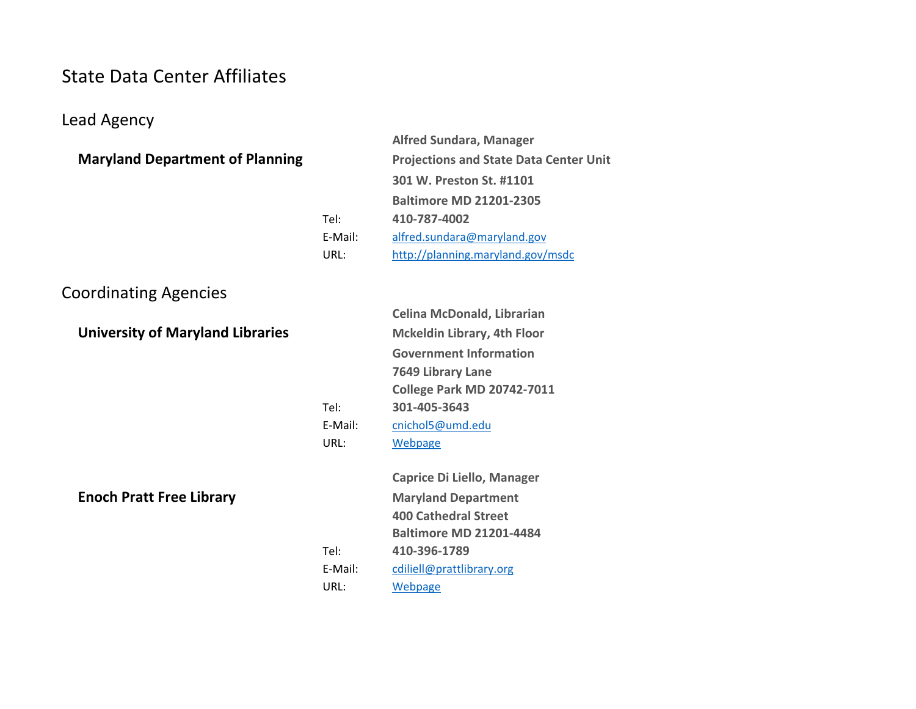### State Data Center Affiliates

### Lead Agency

|                                        |         | <b>Alfred Sundara, Manager</b>                |
|----------------------------------------|---------|-----------------------------------------------|
| <b>Maryland Department of Planning</b> |         | <b>Projections and State Data Center Unit</b> |
|                                        |         | 301 W. Preston St. #1101                      |
|                                        |         | <b>Baltimore MD 21201-2305</b>                |
|                                        | Tel:    | 410-787-4002                                  |
|                                        | E-Mail: | alfred.sundara@maryland.gov                   |
|                                        | URL:    | http://planning.maryland.gov/msdc             |
|                                        |         |                                               |

## Coordinating Agencies

|                                         |         | <b>Celina McDonald, Librarian</b>  |  |
|-----------------------------------------|---------|------------------------------------|--|
| <b>University of Maryland Libraries</b> |         | <b>Mckeldin Library, 4th Floor</b> |  |
|                                         |         | <b>Government Information</b>      |  |
|                                         |         | 7649 Library Lane                  |  |
|                                         |         | <b>College Park MD 20742-7011</b>  |  |
|                                         | Tel:    | 301-405-3643                       |  |
|                                         | E-Mail: | cnichol5@umd.edu                   |  |
|                                         | URL:    | Webpage                            |  |
|                                         |         |                                    |  |
|                                         |         |                                    |  |
|                                         |         | <b>Caprice Di Liello, Manager</b>  |  |
| <b>Enoch Pratt Free Library</b>         |         | <b>Maryland Department</b>         |  |
|                                         |         | <b>400 Cathedral Street</b>        |  |
|                                         |         | <b>Baltimore MD 21201-4484</b>     |  |
|                                         | Tel:    | 410-396-1789                       |  |
|                                         | E-Mail: | cdiliell@prattlibrary.org          |  |
|                                         | URL:    | Webpage                            |  |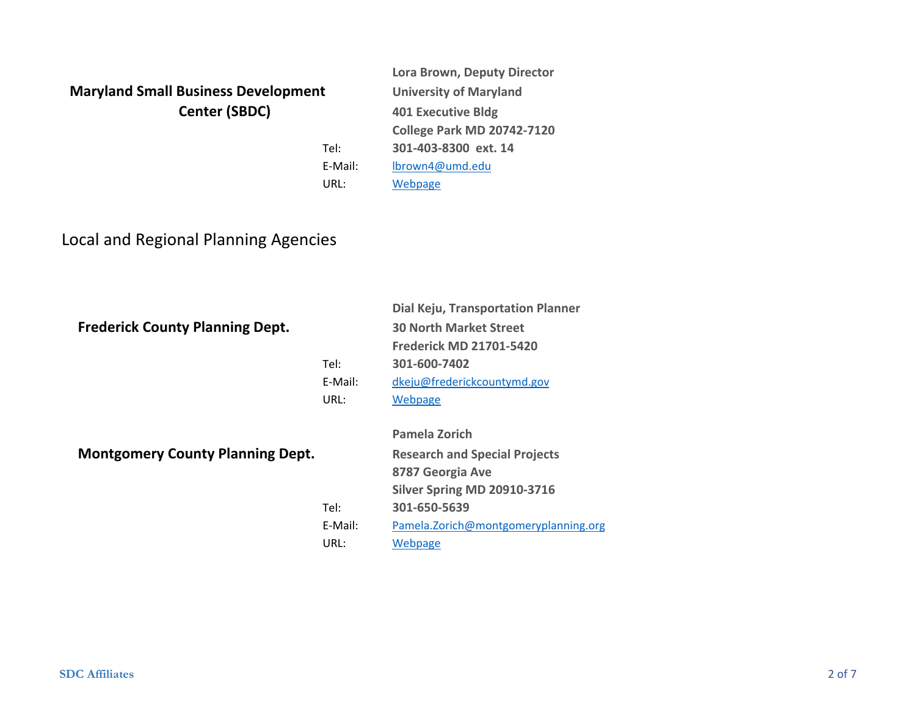### **Maryland Small Business Development University of Maryland Center (SBDC)**

**Lora Brown, Deputy Director 401 Executive Bldg College Park MD 20742‐7120 301‐403‐8300 ext. 14** lbrown4@umd.edu Webpage

**Dial Keju, Transportation Planner**

Local and Regional Planning Agencies

### **Frederick County Planning Dept. <sup>30</sup> North Market Street**

|                                         | Tel:            | 99 1991 611 17191 INC 6 961 CC6<br><b>Frederick MD 21701-5420</b><br>301-600-7402 |
|-----------------------------------------|-----------------|-----------------------------------------------------------------------------------|
|                                         | E-Mail:<br>URL: | dkeju@frederickcountymd.gov<br>Webpage                                            |
|                                         |                 |                                                                                   |
|                                         |                 | <b>Pamela Zorich</b>                                                              |
| <b>Montgomery County Planning Dept.</b> |                 | <b>Research and Special Projects</b>                                              |
|                                         |                 | 8787 Georgia Ave                                                                  |
|                                         |                 | <b>Silver Spring MD 20910-3716</b>                                                |
|                                         | Tel:            | 301-650-5639                                                                      |
|                                         | E-Mail:         | Pamela.Zorich@montgomeryplanning.org                                              |
|                                         | URL:            | Webpage                                                                           |

Tel:

E‐Mail:

URL: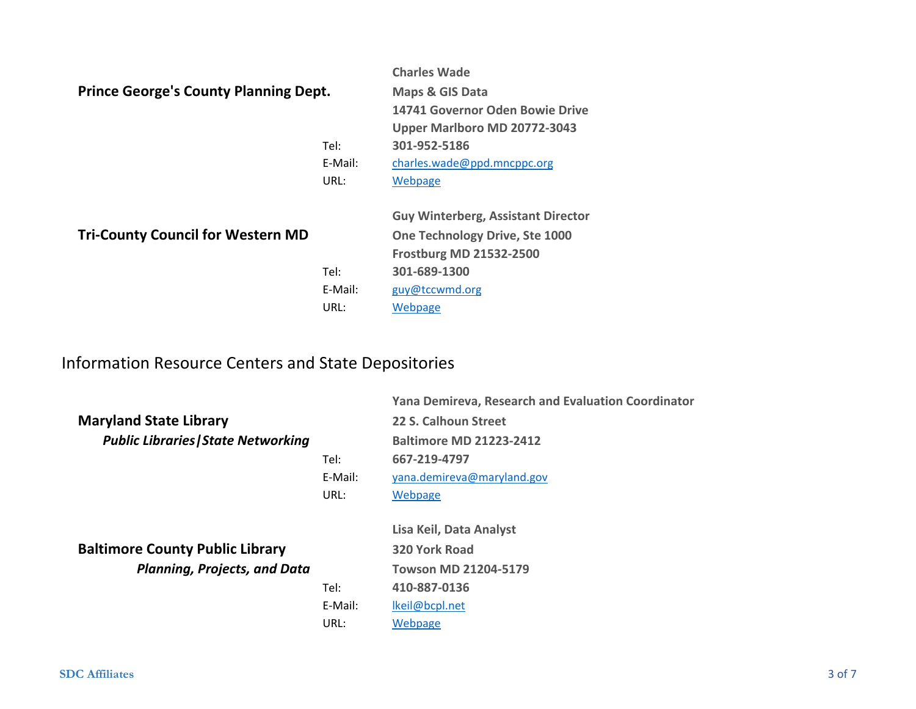|                                              |         | <b>Charles Wade</b>                       |
|----------------------------------------------|---------|-------------------------------------------|
| <b>Prince George's County Planning Dept.</b> |         | <b>Maps &amp; GIS Data</b>                |
|                                              |         | 14741 Governor Oden Bowie Drive           |
|                                              |         | Upper Marlboro MD 20772-3043              |
|                                              | Tel:    | 301-952-5186                              |
|                                              | E-Mail: | charles.wade@ppd.mncppc.org               |
|                                              | URL:    | Webpage                                   |
|                                              |         | <b>Guy Winterberg, Assistant Director</b> |
| <b>Tri-County Council for Western MD</b>     |         | One Technology Drive, Ste 1000            |
|                                              |         | <b>Frostburg MD 21532-2500</b>            |
|                                              | Tel:    | 301-689-1300                              |
|                                              | E-Mail: | guy@tccwmd.org                            |

URL:

### Information Resource Centers and State Depositories

|                                            |         | <b>Yana Demireva, Research and Evaluation Coordinator</b> |
|--------------------------------------------|---------|-----------------------------------------------------------|
| <b>Maryland State Library</b>              |         | 22 S. Calhoun Street                                      |
| <b>Public Libraries   State Networking</b> |         | <b>Baltimore MD 21223-2412</b>                            |
|                                            | Tel:    | 667-219-4797                                              |
|                                            | E-Mail: | yana.demireva@maryland.gov                                |
|                                            | URL:    | Webpage                                                   |
|                                            |         |                                                           |
|                                            |         | Lisa Keil, Data Analyst                                   |
| <b>Baltimore County Public Library</b>     |         | 320 York Road                                             |
| <b>Planning, Projects, and Data</b>        |         | Towson MD 21204-5179                                      |
|                                            | Tel:    | 410-887-0136                                              |
|                                            | E-Mail: | lkeil@bcpl.net                                            |
|                                            | URL:    | Webpage                                                   |

Webpage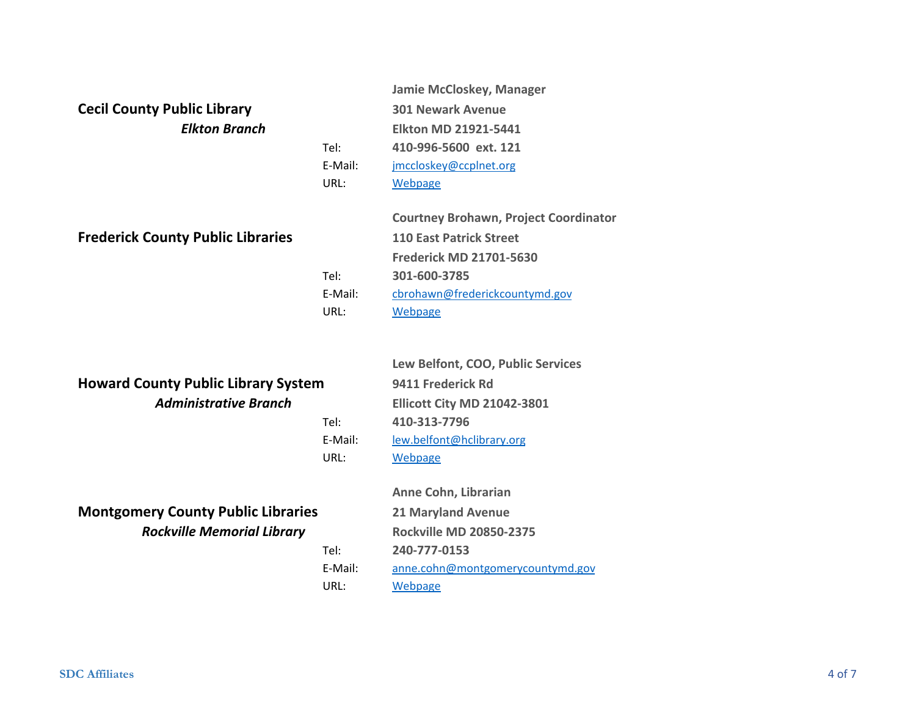# *Elkton Branch*

| <b>Cecil County Public Library</b>       |         | <b>301 Newark Avenue</b>                     |
|------------------------------------------|---------|----------------------------------------------|
| <b>Elkton Branch</b>                     |         | <b>Elkton MD 21921-5441</b>                  |
|                                          | Tel:    | 410-996-5600 ext. 121                        |
|                                          | E-Mail: | jmccloskey@ccplnet.org                       |
|                                          | URL:    | Webpage                                      |
|                                          |         | <b>Courtney Brohawn, Project Coordinator</b> |
| <b>Frederick County Public Libraries</b> |         | <b>110 East Patrick Street</b>               |
|                                          |         | <b>Frederick MD 21701-5630</b>               |
|                                          | Tel:    | 301-600-3785                                 |
|                                          | E-Mail: | cbrohawn@frederickcountymd.gov               |
|                                          | URL:    | Webpage                                      |

**Jamie McCloskey, Manager**

### **Howard County Public Library System <sup>9411</sup> Frederick Rd** *Administrative Branch*

Tel:

E‐Mail:

URL:

Tel:

URL:

**Lew Belfont, COO, Public Services Ellicott City MD 21042‐3801 410‐313‐7796** lew.belfont@hclibrary.org **Webpage** 

### **Montgomery County Public Libraries <sup>21</sup> Maryland Avenue** *Rockville Memorial Library*

**Anne Cohn, Librarian Rockville MD 20850‐2375 240‐777‐0153**E‐Mail: anne.cohn@montgomerycountymd.gov Webpage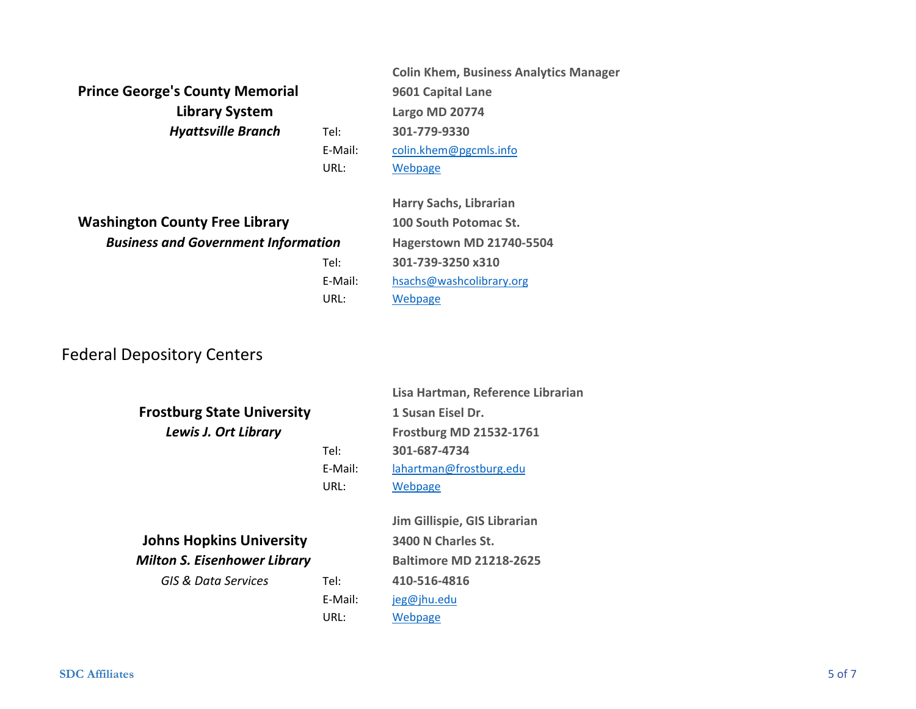**Prince George's County Memorial <sup>9601</sup> Capital Lane** *Hyattsville Branch* Tel: **301‐779‐9330 Library System**

**Colin Khem, Business Analytics Manager Largo MD 20774** colin.khem@pgcmls.info Webpage

**Washington County Free Library <sup>100</sup> South Potomac St.** *Business and Government Information*

**Harry Sachs, Librarian Hagerstown MD 21740‐5504 301‐739‐3250 x310** E‐Mail: hsachs@washcolibrary.org **Webpage** 

### Federal Depository Centers

|                                     |         | Lisa Hartman, Reference Librarian |
|-------------------------------------|---------|-----------------------------------|
| <b>Frostburg State University</b>   |         | 1 Susan Eisel Dr.                 |
| Lewis J. Ort Library                |         | <b>Frostburg MD 21532-1761</b>    |
|                                     | Tel:    | 301-687-4734                      |
|                                     | E-Mail: | lahartman@frostburg.edu           |
|                                     | URL:    | Webpage                           |
|                                     |         |                                   |
|                                     |         | Jim Gillispie, GIS Librarian      |
| <b>Johns Hopkins University</b>     |         | 3400 N Charles St.                |
| <b>Milton S. Eisenhower Library</b> |         | <b>Baltimore MD 21218-2625</b>    |
| GIS & Data Services                 | Tel:    | 410-516-4816                      |
|                                     | E-Mail: | jeg@jhu.edu                       |
|                                     | URL:    | Webpage                           |
|                                     |         |                                   |

E‐Mail:

URL:

Tel:

URL: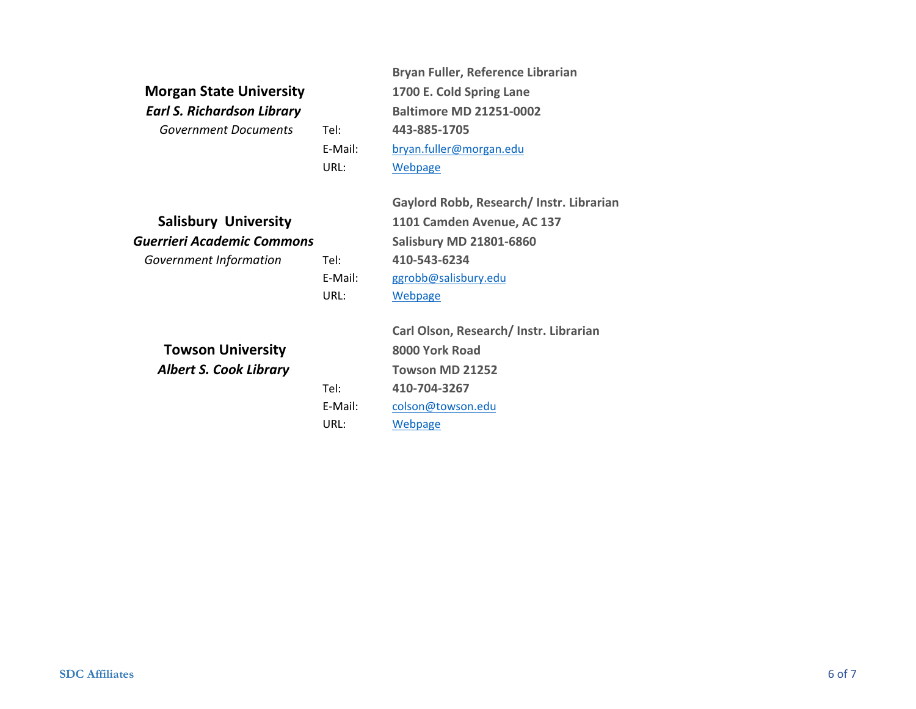### **Morgan State University** *Earl S. Richardson Library*

*Government Documents*

E‐Mail:

URL:

Tel:

E‐Mail:

URL:

Tel:

E‐Mail:

URL:

**Bryan Fuller, Reference Librarian 1700 E. Cold Spring Lane Baltimore MD 21251‐0002** Tel: **443‐885‐1705** bryan.fuller@morgan.edu Webpage

|  | <b>Salisbury University</b> |
|--|-----------------------------|
|--|-----------------------------|

*Guerrieri Academic Commons Government Information*

**Gaylord Robb, Research/ Instr. Librarian 1101 Camden Avenue, AC 137 Salisbury MD 21801‐6860 410‐543‐6234** ggrobb@salisbury.edu Webpage

*Albert S. Cook Library* **Towson University**

**Carl Olson, Research/ Instr. Librarian 8000 York RoadTowson MD 21252 410‐704‐3267** colson@towson.edu Webpage